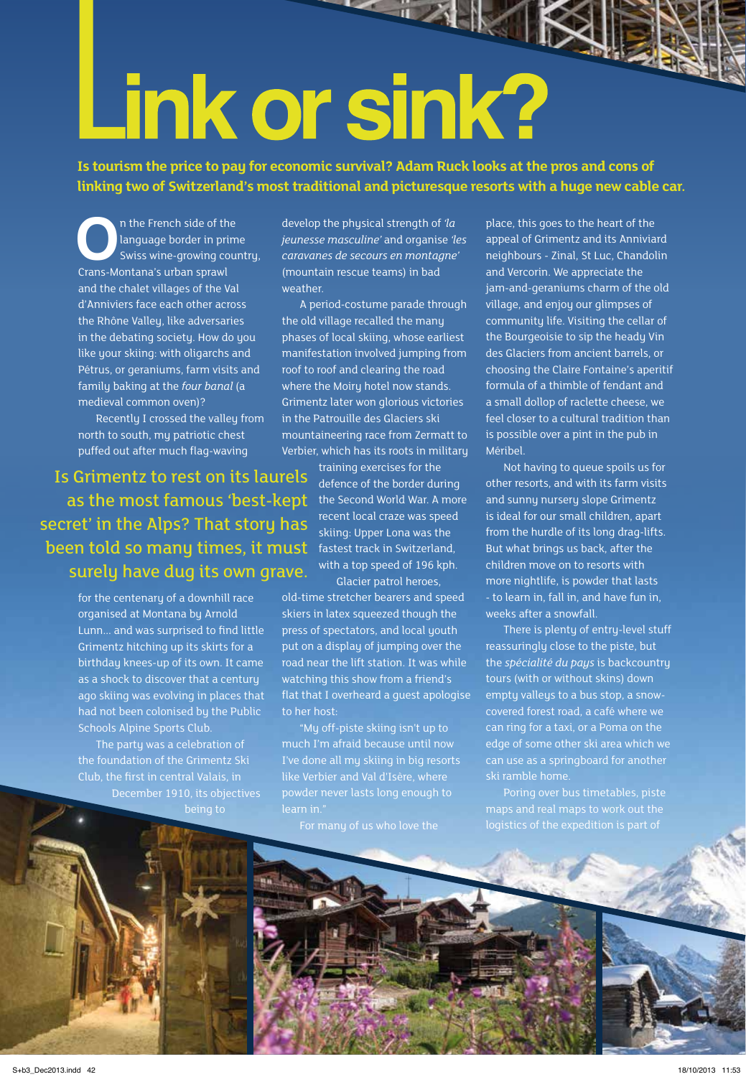# Link or sink?

**Is tourism the price to pay for economic survival? Adam Ruck looks at the pros and cons of linking two of Switzerland's most traditional and picturesque resorts with a huge new cable car.** 

**O**n the French side of the language border in prim<br>
Swiss wine-growing cour<br>
Crans-Montana's urban sprawl language border in prime Swiss wine-growing country, and the chalet villages of the Val d'Anniviers face each other across the Rhône Valley, like adversaries in the debating society. How do you like your skiing: with oligarchs and Pétrus, or geraniums, farm visits and family baking at the *four banal* (a medieval common oven)?

Recently I crossed the valley from north to south, my patriotic chest puffed out after much flag-waving

Is Grimentz to rest on its laurels as the most famous 'best-kept the Second World War. A more secret' in the Alps? That story has been told so many times, it must surely have dug its own grave.

for the centenary of a downhill race organised at Montana by Arnold Lunn... and was surprised to find little Grimentz hitching up its skirts for a birthday knees-up of its own. It came as a shock to discover that a century ago skiing was evolving in places that had not been colonised by the Public Schools Alpine Sports Club.

The party was a celebration of December 1910, its objectives develop the physical strength of *'la jeunesse masculine'* and organise *'les caravanes de secours en montagne'*  (mountain rescue teams) in bad weather.

A period-costume parade through the old village recalled the many phases of local skiing, whose earliest manifestation involved jumping from roof to roof and clearing the road where the Moiry hotel now stands. Grimentz later won glorious victories in the Patrouille des Glaciers ski mountaineering race from Zermatt to Verbier, which has its roots in military

training exercises for the defence of the border during recent local craze was speed skiing: Upper Lona was the fastest track in Switzerland, with a top speed of 196 kph. Glacier patrol heroes,

old-time stretcher bearers and speed skiers in latex squeezed though the press of spectators, and local youth put on a display of jumping over the road near the lift station. It was while watching this show from a friend's flat that I overheard a guest apologise to her host:

"My off-piste skiing isn't up to much I'm afraid because until now I've done all my skiing in big resorts powder never lasts long enough to

place, this goes to the heart of the appeal of Grimentz and its Anniviard neighbours - Zinal, St Luc, Chandolin and Vercorin. We appreciate the jam-and-geraniums charm of the old village, and enjoy our glimpses of community life. Visiting the cellar of the Bourgeoisie to sip the heady Vin des Glaciers from ancient barrels, or choosing the Claire Fontaine's aperitif formula of a thimble of fendant and a small dollop of raclette cheese, we feel closer to a cultural tradition than is possible over a pint in the pub in Méribel.

Not having to queue spoils us for other resorts, and with its farm visits and sunny nursery slope Grimentz is ideal for our small children, apart from the hurdle of its long drag-lifts. But what brings us back, after the children move on to resorts with more nightlife, is powder that lasts - to learn in, fall in, and have fun in, weeks after a snowfall.

There is plenty of entry-level stuff reassuringly close to the piste, but the *spécialité du pays* is backcountry tours (with or without skins) down empty valleys to a bus stop, a snowcovered forest road, a café where we can ring for a taxi, or a Poma on the edge of some other ski area which we can use as a springboard for another ski ramble home.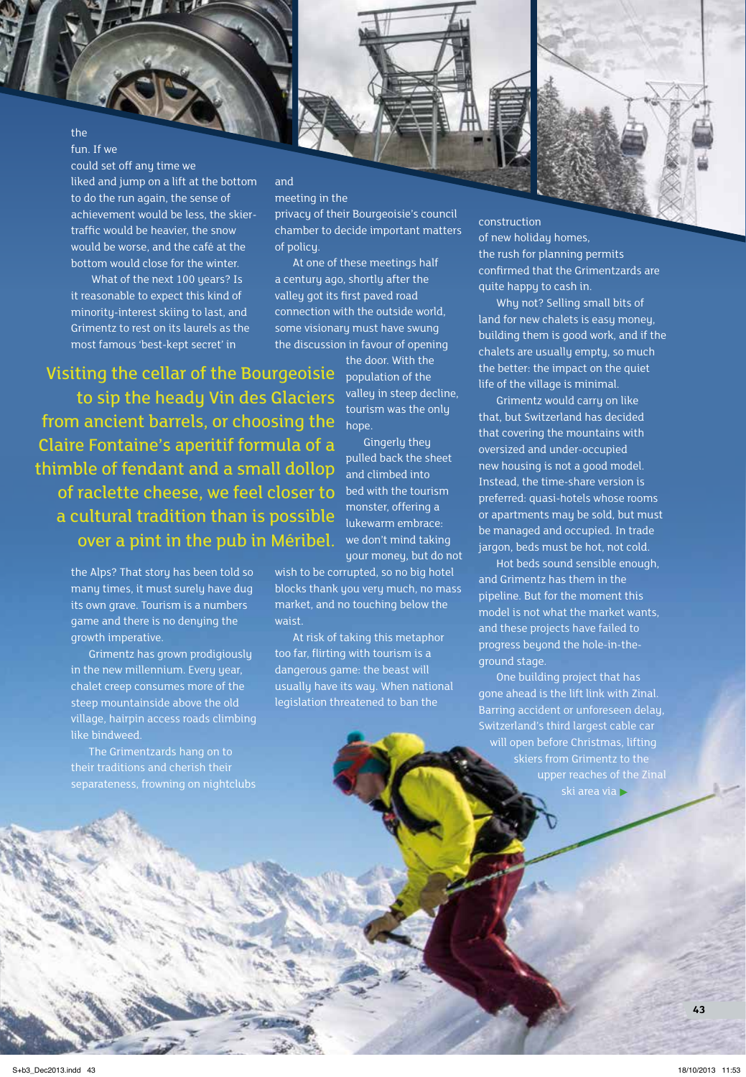the fun. If we

could set off any time we liked and jump on a lift at the bottom to do the run again, the sense of achievement would be less, the skiertraffic would be heavier, the snow would be worse, and the café at the bottom would close for the winter.

What of the next 100 years? Is it reasonable to expect this kind of minority-interest skiing to last, and Grimentz to rest on its laurels as the most famous 'best-kept secret' in

# meeting in the

and

privacy of their Bourgeoisie's council chamber to decide important matters of policy.

At one of these meetings half a century ago, shortly after the valley got its first paved road connection with the outside world, some visionary must have swung the discussion in favour of opening

Visiting the cellar of the Bourgeoisie

to sip the heady Vin des Glaciers from ancient barrels, or choosing the Claire Fontaine's aperitif formula of a thimble of fendant and a small dollop of raclette cheese, we feel closer to a cultural tradition than is possible over a pint in the pub in Méribel.

> the Alps? That story has been told so many times, it must surely have dug its own grave. Tourism is a numbers game and there is no denying the growth imperative.

Grimentz has grown prodigiously in the new millennium. Every year, chalet creep consumes more of the steep mountainside above the old village, hairpin access roads climbing like bindweed.

The Grimentzards hang on to their traditions and cherish their separateness, frowning on nightclubs

the door. With the population of the valley in steep decline, tourism was the only hope.

Gingerly they pulled back the sheet and climbed into bed with the tourism monster, offering a lukewarm embrace: we don't mind taking your money, but do not

wish to be corrupted, so no big hotel blocks thank you very much, no mass market, and no touching below the waist.

At risk of taking this metaphor too far, flirting with tourism is a dangerous game: the beast will usually have its way. When national legislation threatened to ban the

construction of new holiday homes, the rush for planning permits confirmed that the Grimentzards are quite happy to cash in.

Why not? Selling small bits of land for new chalets is easy money, building them is good work, and if the chalets are usually empty, so much the better: the impact on the quiet life of the village is minimal.

Grimentz would carry on like that, but Switzerland has decided that covering the mountains with oversized and under-occupied new housing is not a good model. Instead, the time-share version is preferred: quasi-hotels whose rooms or apartments may be sold, but must be managed and occupied. In trade jargon, beds must be hot, not cold.

Hot beds sound sensible enough, and Grimentz has them in the pipeline. But for the moment this model is not what the market wants, and these projects have failed to progress beyond the hole-in-theground stage.

One building project that has gone ahead is the lift link with Zinal. Barring accident or unforeseen delay, Switzerland's third largest cable car will open before Christmas, lifting ski area via